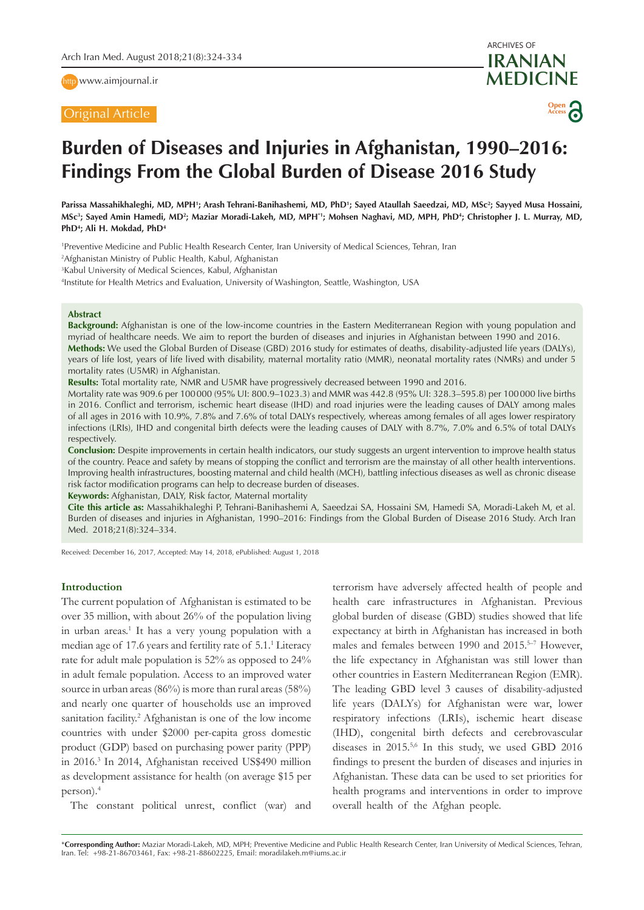http [www.aimjournal.ir](http://www.aimjournal.ir)

# Original Article

ARCHIVES OF **IRANIAN MEDICINE Open**

**Access**

# **Burden of Diseases and Injuries in Afghanistan, 1990–2016: Findings From the Global Burden of Disease 2016 Study**

Parissa Massahikhaleghi, MD, MPH'; Arash Tehrani-Banihashemi, MD, PhD'; Sayed Ataullah Saeedzai, MD, MSc<sup>2</sup>; Sayyed Musa Hossaini, MSc<sup>3</sup>; Sayed Amin Hamedi, MD<sup>2</sup>; Maziar Moradi-Lakeh, MD, MPH\*1; Mohsen Naghavi, MD, MPH, PhD<sup>4</sup>; Christopher J. L. Murray, MD, **PhD4 ; Ali H. Mokdad, PhD4** 

1 Preventive Medicine and Public Health Research Center, Iran University of Medical Sciences, Tehran, Iran

2 Afghanistan Ministry of Public Health, Kabul, Afghanistan

3 Kabul University of Medical Sciences, Kabul, Afghanistan

4 Institute for Health Metrics and Evaluation, University of Washington, Seattle, Washington, USA

#### **Abstract**

**Background:** Afghanistan is one of the low-income countries in the Eastern Mediterranean Region with young population and myriad of healthcare needs. We aim to report the burden of diseases and injuries in Afghanistan between 1990 and 2016. **Methods:** We used the Global Burden of Disease (GBD) 2016 study for estimates of deaths, disability-adjusted life years (DALYs), years of life lost, years of life lived with disability, maternal mortality ratio (MMR), neonatal mortality rates (NMRs) and under 5 mortality rates (U5MR) in Afghanistan.

**Results:** Total mortality rate, NMR and U5MR have progressively decreased between 1990 and 2016.

Mortality rate was 909.6 per 100000 (95% UI: 800.9–1023.3) and MMR was 442.8 (95% UI: 328.3–595.8) per 100000 live births in 2016. Conflict and terrorism, ischemic heart disease (IHD) and road injuries were the leading causes of DALY among males of all ages in 2016 with 10.9%, 7.8% and 7.6% of total DALYs respectively, whereas among females of all ages lower respiratory infections (LRIs), IHD and congenital birth defects were the leading causes of DALY with 8.7%, 7.0% and 6.5% of total DALYs respectively.

**Conclusion:** Despite improvements in certain health indicators, our study suggests an urgent intervention to improve health status of the country. Peace and safety by means of stopping the conflict and terrorism are the mainstay of all other health interventions. Improving health infrastructures, boosting maternal and child health (MCH), battling infectious diseases as well as chronic disease risk factor modification programs can help to decrease burden of diseases.

**Keywords:** Afghanistan, DALY, Risk factor, Maternal mortality

**Cite this article as:** Massahikhaleghi P, Tehrani-Banihashemi A, Saeedzai SA, Hossaini SM, Hamedi SA, Moradi-Lakeh M, et al. Burden of diseases and injuries in Afghanistan, 1990–2016: Findings from the Global Burden of Disease 2016 Study. Arch Iran Med. 2018;21(8):324–334.

Received: December 16, 2017, Accepted: May 14, 2018, ePublished: August 1, 2018

# **Introduction**

The current population of Afghanistan is estimated to be over 35 million, with about 26% of the population living in urban areas.<sup>1</sup> It has a very young population with a median age of 17.6 years and fertility rate of 5.1.<sup>1</sup> Literacy rate for adult male population is 52% as opposed to 24% in adult female population. Access to an improved water source in urban areas (86%) is more than rural areas (58%) and nearly one quarter of households use an improved sanitation facility.<sup>2</sup> Afghanistan is one of the low income countries with under \$2000 per-capita gross domestic product (GDP) based on purchasing power parity (PPP) in 2016.3 In 2014, Afghanistan received US\$490 million as development assistance for health (on average \$15 per person).4

The constant political unrest, conflict (war) and

terrorism have adversely affected health of people and health care infrastructures in Afghanistan. Previous global burden of disease (GBD) studies showed that life expectancy at birth in Afghanistan has increased in both males and females between 1990 and 2015.<sup>5-7</sup> However, the life expectancy in Afghanistan was still lower than other countries in Eastern Mediterranean Region (EMR). The leading GBD level 3 causes of disability-adjusted life years (DALYs) for Afghanistan were war, lower respiratory infections (LRIs), ischemic heart disease (IHD), congenital birth defects and cerebrovascular diseases in 2015.<sup>5,6</sup> In this study, we used GBD 2016 findings to present the burden of diseases and injuries in Afghanistan. These data can be used to set priorities for health programs and interventions in order to improve overall health of the Afghan people.

\***Corresponding Author:** Maziar Moradi-Lakeh, MD, MPH; Preventive Medicine and Public Health Research Center, Iran University of Medical Sciences, Tehran, Iran. Tel: +98-21-86703461, Fax: +98-21-88602225, Email: moradilakeh.m@iums.ac.ir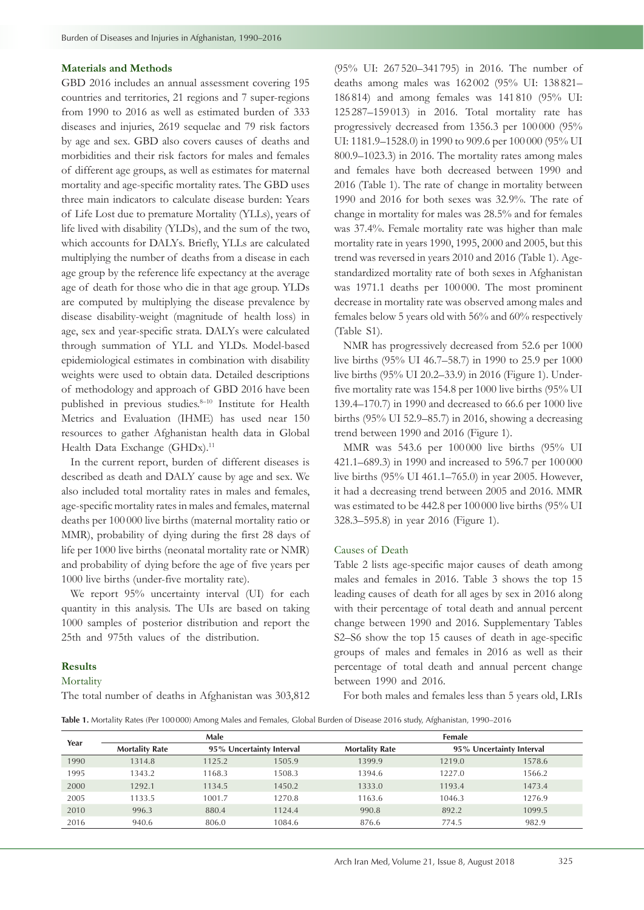## **Materials and Methods**

GBD 2016 includes an annual assessment covering 195 countries and territories, 21 regions and 7 super-regions from 1990 to 2016 as well as estimated burden of 333 diseases and injuries, 2619 sequelae and 79 risk factors by age and sex. GBD also covers causes of deaths and morbidities and their risk factors for males and females of different age groups, as well as estimates for maternal mortality and age-specific mortality rates. The GBD uses three main indicators to calculate disease burden: Years of Life Lost due to premature Mortality (YLLs), years of life lived with disability (YLDs), and the sum of the two, which accounts for DALYs. Briefly, YLLs are calculated multiplying the number of deaths from a disease in each age group by the reference life expectancy at the average age of death for those who die in that age group. YLDs are computed by multiplying the disease prevalence by disease disability-weight (magnitude of health loss) in age, sex and year-specific strata. DALYs were calculated through summation of YLL and YLDs. Model-based epidemiological estimates in combination with disability weights were used to obtain data. Detailed descriptions of methodology and approach of GBD 2016 have been published in previous studies.<sup>8-10</sup> Institute for Health Metrics and Evaluation (IHME) has used near 150 resources to gather Afghanistan health data in Global Health Data Exchange (GHDx).<sup>11</sup>

In the current report, burden of different diseases is described as death and DALY cause by age and sex. We also included total mortality rates in males and females, age-specific mortality rates in males and females, maternal deaths per 100 000 live births (maternal mortality ratio or MMR), probability of dying during the first 28 days of life per 1000 live births (neonatal mortality rate or NMR) and probability of dying before the age of five years per 1000 live births (under-five mortality rate).

We report  $95\%$  uncertainty interval (UI) for each quantity in this analysis. The UIs are based on taking 1000 samples of posterior distribution and report the 25th and 975th values of the distribution.

# **Results**

Mortality

The total number of deaths in Afghanistan was 303,812

(95% UI: 267 520–341 795) in 2016. The number of deaths among males was 162 002 (95% UI: 138 821– 186 814) and among females was 141 810 (95% UI: 125 287–159 013) in 2016. Total mortality rate has progressively decreased from 1356.3 per 100 000 (95% UI: 1181.9–1528.0) in 1990 to 909.6 per 100 000 (95% UI 800.9–1023.3) in 2016. The mortality rates among males and females have both decreased between 1990 and 2016 (Table 1). The rate of change in mortality between 1990 and 2016 for both sexes was 32.9%. The rate of change in mortality for males was 28.5% and for females was 37.4%. Female mortality rate was higher than male mortality rate in years 1990, 1995, 2000 and 2005, but this trend was reversed in years 2010 and 2016 (Table 1). Agestandardized mortality rate of both sexes in Afghanistan was 1971.1 deaths per 100 000. The most prominent decrease in mortality rate was observed among males and females below 5 years old with 56% and 60% respectively (Table S1).

NMR has progressively decreased from 52.6 per 1000 live births (95% UI 46.7–58.7) in 1990 to 25.9 per 1000 live births (95% UI 20.2–33.9) in 2016 (Figure 1). Underfive mortality rate was 154.8 per 1000 live births (95% UI 139.4–170.7) in 1990 and decreased to 66.6 per 1000 live births (95% UI 52.9–85.7) in 2016, showing a decreasing trend between 1990 and 2016 (Figure 1).

MMR was 543.6 per 100 000 live births (95% UI 421.1–689.3) in 1990 and increased to 596.7 per 100 000 live births (95% UI 461.1–765.0) in year 2005. However, it had a decreasing trend between 2005 and 2016. MMR was estimated to be 442.8 per 100 000 live births (95% UI 328.3–595.8) in year 2016 (Figure 1).

# Causes of Death

Table 2 lists age-specific major causes of death among males and females in 2016. Table 3 shows the top 15 leading causes of death for all ages by sex in 2016 along with their percentage of total death and annual percent change between 1990 and 2016. Supplementary Tables S2–S6 show the top 15 causes of death in age-specific groups of males and females in 2016 as well as their percentage of total death and annual percent change between 1990 and 2016.

For both males and females less than 5 years old, LRIs

**Table 1.** Mortality Rates (Per 100000) Among Males and Females, Global Burden of Disease 2016 study, Afghanistan, 1990–2016

| Year |                       | Male   |                          |                       | Female |                          |
|------|-----------------------|--------|--------------------------|-----------------------|--------|--------------------------|
|      | <b>Mortality Rate</b> |        | 95% Uncertainty Interval | <b>Mortality Rate</b> |        | 95% Uncertainty Interval |
| 1990 | 1314.8                | 1125.2 | 1505.9                   | 1399.9                | 1219.0 | 1578.6                   |
| 1995 | 1343.2                | 1168.3 | 1508.3                   | 1394.6                | 1227.0 | 1566.2                   |
| 2000 | 1292.1                | 1134.5 | 1450.2                   | 1333.0                | 1193.4 | 1473.4                   |
| 2005 | 1133.5                | 1001.7 | 1270.8                   | 1163.6                | 1046.3 | 1276.9                   |
| 2010 | 996.3                 | 880.4  | 1124.4                   | 990.8                 | 892.2  | 1099.5                   |
| 2016 | 940.6                 | 806.0  | 1084.6                   | 876.6                 | 774.5  | 982.9                    |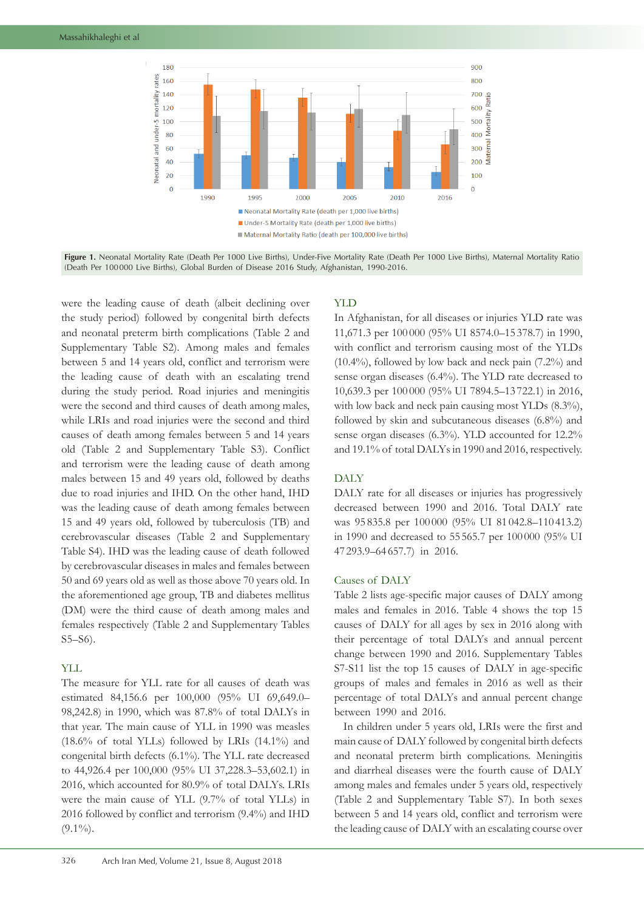

**Figure 1.** Neonatal Mortality Rate (Death Per 1000 Live Births), Under-Five Mortality Rate (Death Per 1000 Live Births), Maternal Mortality Ratio (Death Per 100000 Live Births), Global Burden of Disease 2016 Study, Afghanistan, 1990-2016.

were the leading cause of death (albeit declining over the study period) followed by congenital birth defects and neonatal preterm birth complications (Table 2 and Supplementary Table S2). Among males and females between 5 and 14 years old, conflict and terrorism were the leading cause of death with an escalating trend during the study period. Road injuries and meningitis were the second and third causes of death among males, while LRIs and road injuries were the second and third causes of death among females between 5 and 14 years old (Table 2 and Supplementary Table S3). Conflict and terrorism were the leading cause of death among males between 15 and 49 years old, followed by deaths due to road injuries and IHD. On the other hand, IHD was the leading cause of death among females between 15 and 49 years old, followed by tuberculosis (TB) and cerebrovascular diseases (Table 2 and Supplementary Table S4). IHD was the leading cause of death followed by cerebrovascular diseases in males and females between 50 and 69 years old as well as those above 70 years old. In the aforementioned age group, TB and diabetes mellitus (DM) were the third cause of death among males and females respectively (Table 2 and Supplementary Tables S5–S6).

# YLL

The measure for YLL rate for all causes of death was estimated 84,156.6 per 100,000 (95% UI 69,649.0– 98,242.8) in 1990, which was 87.8% of total DALYs in that year. The main cause of YLL in 1990 was measles  $(18.6\%$  of total YLLs) followed by LRIs  $(14.1\%)$  and congenital birth defects (6.1%). The YLL rate decreased to 44,926.4 per 100,000 (95% UI 37,228.3–53,602.1) in 2016, which accounted for 80.9% of total DALYs. LRIs were the main cause of YLL (9.7% of total YLLs) in 2016 followed by conflict and terrorism (9.4%) and IHD  $(9.1\%)$ .

# YLD

In Afghanistan, for all diseases or injuries YLD rate was 11,671.3 per 100 000 (95% UI 8574.0–15 378.7) in 1990, with conflict and terrorism causing most of the YLDs (10.4%), followed by low back and neck pain (7.2%) and sense organ diseases (6.4%). The YLD rate decreased to 10,639.3 per 100 000 (95% UI 7894.5–13 722.1) in 2016, with low back and neck pain causing most YLDs  $(8.3\%)$ , followed by skin and subcutaneous diseases (6.8%) and sense organ diseases (6.3%). YLD accounted for 12.2% and 19.1% of total DALYs in 1990 and 2016, respectively.

# DALY

DALY rate for all diseases or injuries has progressively decreased between 1990 and 2016. Total DALY rate was 95 835.8 per 100 000 (95% UI 81 042.8–110 413.2) in 1990 and decreased to 55 565.7 per 100 000 (95% UI 47 293.9–64 657.7) in 2016.

# Causes of DALY

Table 2 lists age-specific major causes of DALY among males and females in 2016. Table 4 shows the top 15 causes of DALY for all ages by sex in 2016 along with their percentage of total DALYs and annual percent change between 1990 and 2016. Supplementary Tables S7-S11 list the top 15 causes of DALY in age-specific groups of males and females in 2016 as well as their percentage of total DALYs and annual percent change between 1990 and 2016.

In children under 5 years old, LRIs were the first and main cause of DALY followed by congenital birth defects and neonatal preterm birth complications. Meningitis and diarrheal diseases were the fourth cause of DALY among males and females under 5 years old, respectively (Table 2 and Supplementary Table S7). In both sexes between 5 and 14 years old, conflict and terrorism were the leading cause of DALY with an escalating course over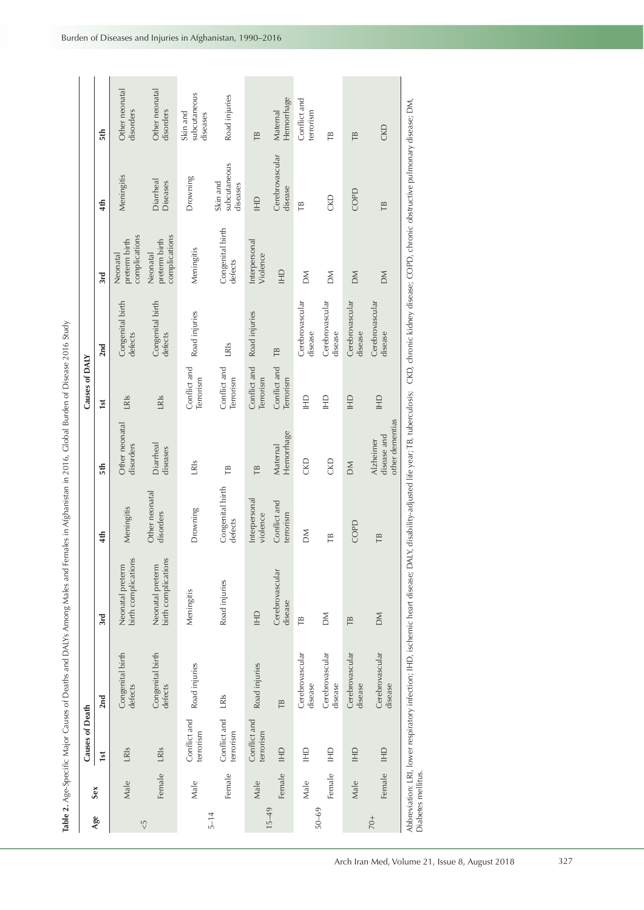|            |        | Causes of Death                                                                                                                                                                                                                                                                                                                                                                                                                                                                                                                                                   |                             |                                         |                             |                                                    | Causes of DAIY            |                             |                                            |                                       |                                      |
|------------|--------|-------------------------------------------------------------------------------------------------------------------------------------------------------------------------------------------------------------------------------------------------------------------------------------------------------------------------------------------------------------------------------------------------------------------------------------------------------------------------------------------------------------------------------------------------------------------|-----------------------------|-----------------------------------------|-----------------------------|----------------------------------------------------|---------------------------|-----------------------------|--------------------------------------------|---------------------------------------|--------------------------------------|
| Age        | Sex    | 1st                                                                                                                                                                                                                                                                                                                                                                                                                                                                                                                                                               | 2nd                         | 3rd                                     | 4th                         | 5th                                                | 1st                       | 2nd                         | 3rd                                        | 4th                                   | 5th                                  |
| $\sqrt{5}$ | Male   | LRIs                                                                                                                                                                                                                                                                                                                                                                                                                                                                                                                                                              | Congenital birth<br>defects | birth complications<br>Neonatal preterm | Meningitis                  | Other neonatal<br>disorders                        | LRIS                      | Congenital birth<br>defects | complications<br>preterm birth<br>Neonatal | Meningitis                            | Other neonatal<br>disorders          |
|            | Female | LRIs                                                                                                                                                                                                                                                                                                                                                                                                                                                                                                                                                              | Congenital birth<br>defects | birth complications<br>Neonatal preterm | Other neonatal<br>disorders | Diarrheal<br>diseases                              | LRIS                      | Congenital birth<br>defects | complications<br>preterm birth<br>Neonatal | Diarrheal<br>Diseases                 | Other neonatal<br>disorders          |
|            | Male   | Conflict and<br>terrorism                                                                                                                                                                                                                                                                                                                                                                                                                                                                                                                                         | Road injuries               | Meningitis                              | Drowning                    | LR <sub>IS</sub>                                   | Conflict and<br>Terrorism | Road injuries               | Meningitis                                 | Drowning                              | subcutaneous<br>Skin and<br>diseases |
| $5 - 14$   | Female | Conflict and<br>terrorism                                                                                                                                                                                                                                                                                                                                                                                                                                                                                                                                         | LR <sub>IS</sub>            | Road injuries                           | Congenital birth<br>defects | TB                                                 | Conflict and<br>Terrorism | LRIs                        | Congenital birth<br>defects                | subcutaneous<br>Skin and<br>diseases  | Road injuries                        |
|            | Male   | Conflict and<br>terrorism                                                                                                                                                                                                                                                                                                                                                                                                                                                                                                                                         | Road injuries               | $\exists$                               | Interpersonal<br>violence   | TB                                                 | Conflict and<br>Terrorism | Road injuries               | Interpersonal<br>Violence                  | $\begin{array}{c} 1 \\ 1 \end{array}$ | TB                                   |
| $15 - 49$  | Female | $\Xi$                                                                                                                                                                                                                                                                                                                                                                                                                                                                                                                                                             | TB                          | Cerebrovascular<br>disease              | Conflict and<br>terrorism   | Hemorrhage<br>Maternal                             | Conflict and<br>Terrorism | TB                          | $\mathbf{r}$                               | Cerebrovascular<br>disease            | Hemorrhage<br>Maternal               |
|            | Male   | $\Xi$                                                                                                                                                                                                                                                                                                                                                                                                                                                                                                                                                             | Cerebrovascular<br>disease  | ΓB                                      | ΣÑ                          | CKD                                                | $\Xi$                     | Cerebrovascular<br>disease  | MQ                                         | TΒ                                    | Conflict and<br>terrorism            |
| $50 - 69$  | Female | $\Xi$                                                                                                                                                                                                                                                                                                                                                                                                                                                                                                                                                             | Cerebrovascular<br>disease  | MQ                                      | TB                          | CKD                                                | $\Xi$                     | Cerebrovascular<br>disease  | MQ                                         | <b>CKD</b>                            | TB                                   |
|            | Male   | $\mathop{\underline{\mathop\mathrm{H}\mathop\mathrm{H}\mathop\mathrm{H}\mathop\mathrm{H}\mathop\mathrm{H}\mathop\mathrm{H}\mathop\mathrm{H}\mathop\mathrm{H}\mathop\mathrm{H}\mathop\mathrm{H}\mathop\mathrm{H}\mathop\mathrm{H}\mathop\mathrm{H}\mathop\mathrm{H}\mathop\mathrm{H}\mathop\mathrm{H}\mathop\mathrm{H}\mathop\mathrm{H}\mathop\mathrm{H}\mathop\mathrm{H}\mathop\mathrm{H}\mathop\mathrm{H}\mathop\mathrm{H}\mathop\mathrm{H}\mathop\mathrm{H}\mathop\mathrm{H}\mathop\mathrm{H}\mathop\mathrm{H}\mathop\mathrm{H}\mathop\mathrm{H}\mathop\mathrm$ | Cerebrovascular<br>disease  | TB                                      | COPD                        | MO                                                 | $\Xi$                     | Cerebrovascular<br>disease  | MO                                         | COPD                                  | TB                                   |
| $70+$      | Female | HD                                                                                                                                                                                                                                                                                                                                                                                                                                                                                                                                                                | Cerebrovascular<br>disease  | MO                                      | TB                          | other dementias<br>disease and<br><b>Alzheimer</b> | $\Xi$                     | Cerebrovascular<br>disease  | MO                                         | TB                                    | CKD                                  |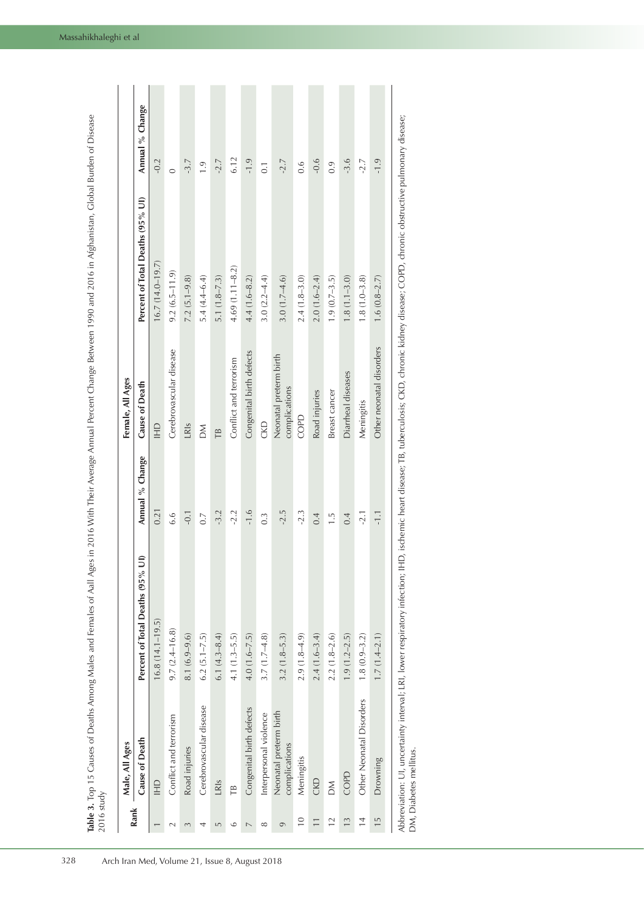|                 | Male, All Ages                          |                                                                                                            |                  | Female, All Ages                        |                                  |                  |
|-----------------|-----------------------------------------|------------------------------------------------------------------------------------------------------------|------------------|-----------------------------------------|----------------------------------|------------------|
| Rank            | Cause of Death                          | $\widehat{=}$<br>Percent of Total Deaths (95%                                                              | Annual % Change  | Cause of Death                          | Percent of Total Deaths (95% UI) | Annual % Change  |
|                 | $\overline{H}$                          | $16.8(14.1 - 19.5)$                                                                                        | 0.21             | $\frac{1}{2}$                           | $16.7(14.0 - 19.7)$              | $-0.2$           |
|                 | Conflict and terrorism                  | $9.7(2.4 - 16.8)$                                                                                          | 6.6              | Cerebrovascular disease                 | $9.2(6.5 - 11.9)$                | $\circ$          |
| 3               | Road injuries                           | $8.1(6.9 - 9.6)$                                                                                           | $-0.1$           | LRIS                                    | $7.2(5.1 - 9.8)$                 | $-3.7$           |
| 4               | Cerebrovascular disease                 | $6.2 (5.1 - 7.5)$                                                                                          | 0.7              | MQ                                      | $5.4(4.4 - 6.4)$                 | $\ddot{6}$ .     |
| $\sqrt{2}$      | LRIS                                    | $6.1(4.3 - 8.4)$                                                                                           | $-3.2$           | TΒ                                      | $5.1(1.8 - 7.3)$                 | $-2.7$           |
|                 | ΓB                                      | $4.1(1.3 - 5.5)$                                                                                           | $-2.2$           | Conflict and terrorism                  | $4.69(1.11 - 8.2)$               | 6.12             |
| $\overline{ }$  | Congenital birth defects                | $4.0(1.6 - 7.5)$                                                                                           | $-1.6$           | Congenital birth defects                | $4.4(1.6 - 8.2)$                 | $-1.9$           |
| ೲ               | Interpersonal violence                  | $3.7(1.7-4.8)$                                                                                             | $0.\overline{3}$ | <b>CKD</b>                              | $3.0(2.2 - 4.4)$                 | $\overline{0}$ . |
| q               | Neonatal preterm birth<br>complications | $3.2(1.8 - 5.3)$                                                                                           | $-2.5$           | Neonatal preterm birth<br>complications | $3.0(1.7 - 4.6)$                 | $-2.7$           |
| $\frac{0}{1}$   | Meningitis                              | $2.9(1.8-4.9)$                                                                                             | $-2.3$           | COPD                                    | $2.4(1.8-3.0)$                   | 0.6              |
|                 | CKD                                     | $2.4(1.6 - 3.4)$                                                                                           | 0.4              | Road injuries                           | $2.0(1.6 - 2.4)$                 | $-0.6$           |
| $\overline{12}$ | MO                                      | $2.2(1.8-2.6)$                                                                                             | $\frac{1}{1}$    | Breast cancer                           | $1.9(0.7-3.5)$                   | 0.9              |
| $\frac{3}{2}$   | COPD                                    | $1.9(1.2-2.5)$                                                                                             | 0.4              | Diarrheal diseases                      | $1.8(1.1 - 3.0)$                 | $-3.6$           |
| $\frac{4}{4}$   | Other Neonatal Disorders                | $1.8(0.9 - 3.2)$                                                                                           | $-2.1$           | Meningitis                              | $1.8(1.0-3.8)$                   | $-2.7$           |
| $\frac{15}{1}$  | Drowning                                | $1.7(1.4-2.1)$                                                                                             | $\frac{1}{1}$    | Other neonatal disorders                | $1.6(0.8-2.7)$                   | $-1.9$           |
|                 |                                         | in including throwing the problem of the children's checking of CODO checking objective outlesses director |                  |                                         |                                  |                  |

Abbreviation: UI, uncertainty interval; LRI, lower respiratory infection; IHD, ischemic heart disease; TB, tuberculosis; CKD, chronic kidney disease; COPD, chronic obstructive pulmonary disease; obstructive pulmonary disease; Abbreviation: UI, uncertainty interval; LRI, Iower respiratory infection; IHD, ischemic heart disease; TB, tuberculosis; CKD, chronic kidney disease; COPD, chronic<br>DM, Diabetes mellitus. DM, Diabetes mellitus.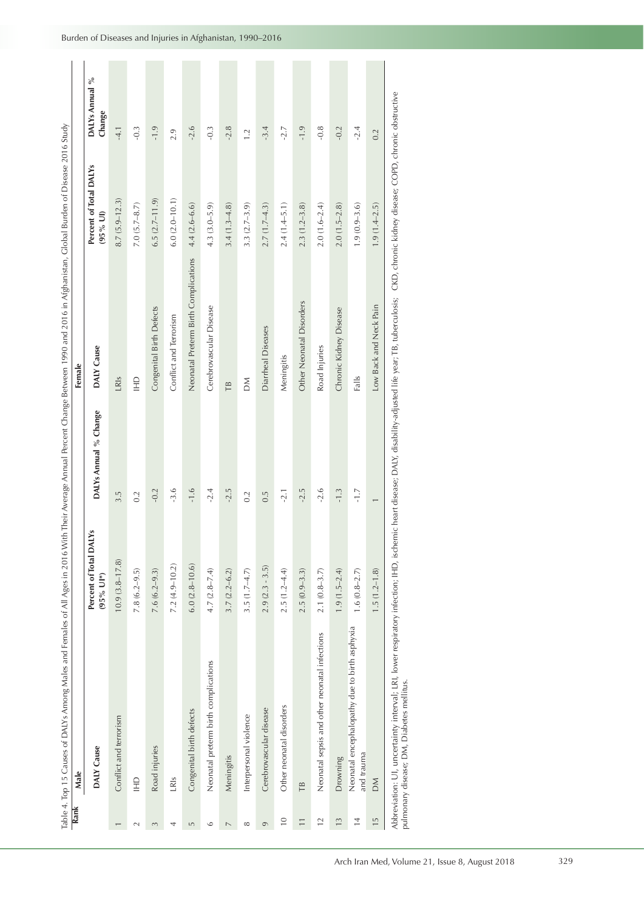|                          | Table 4. Top 15 Causes of DALYs Among Males and Females of All Ages in 2016 W                                                                                                                              |                                       |                       | ith Their Average Annual Percent Change Between 1990 and 2016 in Afghanistan, Global Burden of Disease 2016 Study |                                                        |                          |
|--------------------------|------------------------------------------------------------------------------------------------------------------------------------------------------------------------------------------------------------|---------------------------------------|-----------------------|-------------------------------------------------------------------------------------------------------------------|--------------------------------------------------------|--------------------------|
| Rank                     | Male                                                                                                                                                                                                       |                                       |                       | Female                                                                                                            |                                                        |                          |
|                          | DALY Cause                                                                                                                                                                                                 | Percent of Total DALYs<br>$(95%$ UI*) | DALYs Annual % Change | DALY Cause                                                                                                        | Percent of Total DALYs<br>$(95%$ UI)                   | DALYs Annual %<br>Change |
|                          | Conflict and terrorism                                                                                                                                                                                     | $10.9(3.8 - 17.8)$                    | 3.5                   | LRIS                                                                                                              | $8.7(5.9-12.3)$                                        | $-4.1$                   |
| $\sim$                   | $\begin{array}{c}\n\Box \\ \Box\n\end{array}$                                                                                                                                                              | $7.8(6.2 - 9.5)$                      | 0.2                   | $\Xi$                                                                                                             | $7.0 (5.7 - 8.7)$                                      | $-0.3$                   |
| 3                        | Road injuries                                                                                                                                                                                              | $7.6(6.2 - 9.3)$                      | $-0.2$                | Congenital Birth Defects                                                                                          | $6.5(2.7-11.9)$                                        | $-1.9$                   |
| 4                        | LRIS                                                                                                                                                                                                       | $7.2(4.9 - 10.2)$                     | $-3.6$                | Conflict and Terrorism                                                                                            | $6.0(2.0 - 10.1)$                                      | 2.9                      |
| LN,                      | Congenital birth defects                                                                                                                                                                                   | $6.0(2.8-10.6)$                       | $-1.6$                | Neonatal Preterm Birth Complications                                                                              | $4.4(2.6-6.6)$                                         | $-2.6$                   |
| $\circ$                  | Neonatal preterm birth complications                                                                                                                                                                       | $4.7 (2.8 - 7.4)$                     | $-2.4$                | Cerebrovascular Disease                                                                                           | $4.3(3.0 - 5.9)$                                       | $-0.3$                   |
| $\overline{\phantom{a}}$ | Meningitis                                                                                                                                                                                                 | $3.7(2.2 - 6.2)$                      | $-2.5$                | TB                                                                                                                | $3.4(1.3-4.8)$                                         | $-2.8$                   |
| $^{\circ}$               | Interpersonal violence                                                                                                                                                                                     | $3.5(1.7-4.7)$                        | 0.2                   | MQ                                                                                                                | $3.3(2.7-3.9)$                                         | 1.2                      |
| 6                        | Cerebrovascular disease                                                                                                                                                                                    | $2.9(2.3 - 3.5)$                      | 0.5                   | Diarrheal Diseases                                                                                                | $2.7(1.7-4.3)$                                         | $-3.4$                   |
| $\overline{0}$           | Other neonatal disorders                                                                                                                                                                                   | $2.5(1.2-4.4)$                        | $-2.1$                | Meningitis                                                                                                        | $2.4(1.4 - 5.1)$                                       | $-2.7$                   |
| $\overline{1}$           | TB                                                                                                                                                                                                         | $2.5(0.9-3.3)$                        | $-2.5$                | Other Neonatal Disorders                                                                                          | $2.3(1.2 - 3.8)$                                       | $-1.9$                   |
| $\overline{c}$           | Neonatal sepsis and other neonatal infections                                                                                                                                                              | $2.1(0.8-3.7)$                        | $-2.6$                | Road Injuries                                                                                                     | $2.0(1.6 - 2.4)$                                       | $-0.8$                   |
| $\frac{3}{2}$            | Drowning                                                                                                                                                                                                   | $1.9(1.5-2.4)$                        | $-1.3$                | Chronic Kidney Disease                                                                                            | $2.0(1.5-2.8)$                                         | $-0.2$                   |
| $\overline{1}$           | Neonatal encephalopathy due to birth asphyxia<br>and trauma                                                                                                                                                | $1.6(0.8-2.7)$                        | $-1.7$                | Falls                                                                                                             | $1.9(0.9 - 3.6)$                                       | $-2.4$                   |
| $\frac{15}{2}$           | MO                                                                                                                                                                                                         | $1.5(1.2 - 1.8)$                      | $\overline{ }$        | Low Back and Neck Pain                                                                                            | $1.9(1.4 - 2.5)$                                       | 0.2                      |
|                          | Abbreviation: UI, uncertainty interval; LRI, lower respiratory infection; IHD, ischemic heart disease; DALY, disability-adjusted life year; TB, tuberculosis;<br>pulmonary disease; DM, Diabetes mellitus. |                                       |                       |                                                                                                                   | CKD, chronic kidney disease; COPD, chronic obstructive |                          |

| į                                                |   |
|--------------------------------------------------|---|
|                                                  |   |
|                                                  |   |
| l<br>J                                           |   |
| l<br>١<br>ļ                                      |   |
| Ï<br>i                                           |   |
| ֘֒                                               |   |
| j                                                |   |
| I                                                |   |
| I                                                |   |
| ₹<br>i                                           |   |
|                                                  |   |
|                                                  |   |
| ׇ֚֬֡                                             |   |
|                                                  |   |
|                                                  |   |
| Į                                                |   |
|                                                  |   |
|                                                  |   |
| l<br>j                                           |   |
|                                                  |   |
| Ï<br>ׇ֦<br>ׇ֚֬֡                                  |   |
|                                                  | I |
|                                                  |   |
| I<br>١<br>١<br>ļ                                 |   |
| İ<br>ł<br>j                                      |   |
| $\frac{1}{2}$                                    |   |
| i                                                |   |
|                                                  |   |
| Ś<br>I                                           |   |
|                                                  |   |
|                                                  |   |
| ļ<br>Ì<br>Ì<br>I                                 |   |
| i<br>֖֖֖֖֢ׅ֢ׅ֖֪ׅ֖֖֖֚֚֚֚֚֚֚֚֚֚֚֚֚֚֚֬֝֓֝<br>ׇׇ֚֬֓֡ |   |
|                                                  |   |
| $\frac{1}{2}$<br>ć<br>l                          |   |
|                                                  |   |
|                                                  |   |
|                                                  |   |
| Ć<br>Į                                           |   |
|                                                  |   |
| ï<br>I                                           |   |
|                                                  |   |
|                                                  |   |
| $\frac{1}{2}$<br>j                               |   |
| ales                                             |   |
|                                                  |   |
| I                                                |   |
|                                                  |   |
|                                                  |   |
|                                                  |   |
|                                                  |   |
| l<br>١                                           |   |
|                                                  |   |
|                                                  |   |
| l                                                |   |
|                                                  |   |
|                                                  |   |
|                                                  |   |
| I                                                |   |
|                                                  |   |
| I<br>J<br>í                                      |   |
|                                                  |   |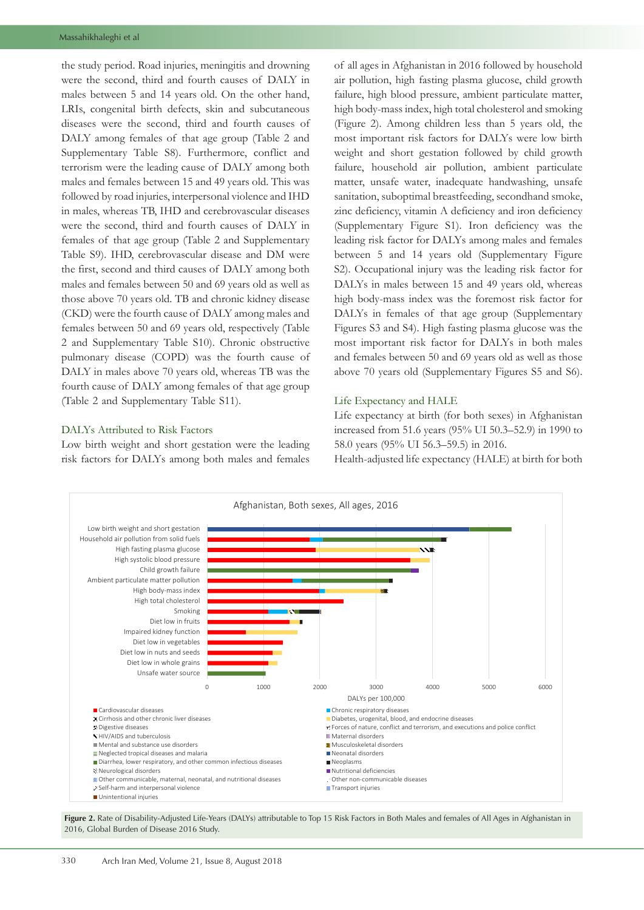the study period. Road injuries, meningitis and drowning were the second, third and fourth causes of DALY in males between 5 and 14 years old. On the other hand, LRIs, congenital birth defects, skin and subcutaneous diseases were the second, third and fourth causes of DALY among females of that age group (Table 2 and Supplementary Table S8). Furthermore, conflict and terrorism were the leading cause of DALY among both males and females between 15 and 49 years old. This was followed by road injuries, interpersonal violence and IHD in males, whereas TB, IHD and cerebrovascular diseases were the second, third and fourth causes of DALY in females of that age group (Table 2 and Supplementary Table S9). IHD, cerebrovascular disease and DM were the first, second and third causes of DALY among both males and females between 50 and 69 years old as well as those above 70 years old. TB and chronic kidney disease (CKD) were the fourth cause of DALY among males and females between 50 and 69 years old, respectively (Table 2 and Supplementary Table S10). Chronic obstructive pulmonary disease (COPD) was the fourth cause of DALY in males above 70 years old, whereas TB was the fourth cause of DALY among females of that age group (Table 2 and Supplementary Table S11).

## DALYs Attributed to Risk Factors

Low birth weight and short gestation were the leading risk factors for DALYs among both males and females

of all ages in Afghanistan in 2016 followed by household air pollution, high fasting plasma glucose, child growth failure, high blood pressure, ambient particulate matter, high body-mass index, high total cholesterol and smoking (Figure 2). Among children less than 5 years old, the most important risk factors for DALYs were low birth weight and short gestation followed by child growth failure, household air pollution, ambient particulate matter, unsafe water, inadequate handwashing, unsafe sanitation, suboptimal breastfeeding, secondhand smoke, zinc deficiency, vitamin A deficiency and iron deficiency (Supplementary Figure S1). Iron deficiency was the leading risk factor for DALYs among males and females between 5 and 14 years old (Supplementary Figure S2). Occupational injury was the leading risk factor for DALYs in males between 15 and 49 years old, whereas high body-mass index was the foremost risk factor for DALYs in females of that age group (Supplementary Figures S3 and S4). High fasting plasma glucose was the most important risk factor for DALYs in both males and females between 50 and 69 years old as well as those above 70 years old (Supplementary Figures S5 and S6).

## Life Expectancy and HALE

Life expectancy at birth (for both sexes) in Afghanistan increased from 51.6 years (95% UI 50.3–52.9) in 1990 to 58.0 years (95% UI 56.3–59.5) in 2016.

Health-adjusted life expectancy (HALE) at birth for both



Figure 2. Rate of Disability-Adjusted Life-Years (DALYs) attributable to Top 15 Risk Factors in Both Males and females of All Ages in Afghanistan in 2016, Global Burden of Disease 2016 Study.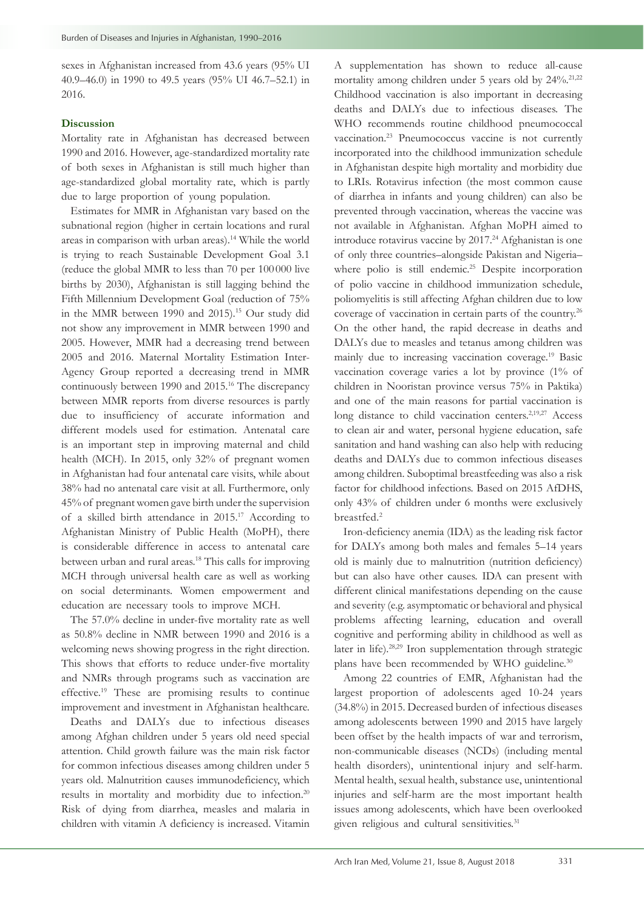sexes in Afghanistan increased from 43.6 years (95% UI 40.9–46.0) in 1990 to 49.5 years (95% UI 46.7–52.1) in 2016.

# **Discussion**

Mortality rate in Afghanistan has decreased between 1990 and 2016. However, age-standardized mortality rate of both sexes in Afghanistan is still much higher than age-standardized global mortality rate, which is partly due to large proportion of young population.

Estimates for MMR in Afghanistan vary based on the subnational region (higher in certain locations and rural areas in comparison with urban areas).<sup>14</sup> While the world is trying to reach Sustainable Development Goal 3.1 (reduce the global MMR to less than 70 per 100 000 live births by 2030), Afghanistan is still lagging behind the Fifth Millennium Development Goal (reduction of 75% in the MMR between 1990 and 2015).<sup>15</sup> Our study did not show any improvement in MMR between 1990 and 2005. However, MMR had a decreasing trend between 2005 and 2016. Maternal Mortality Estimation Inter-Agency Group reported a decreasing trend in MMR continuously between 1990 and 2015.16 The discrepancy between MMR reports from diverse resources is partly due to insufficiency of accurate information and different models used for estimation. Antenatal care is an important step in improving maternal and child health (MCH). In 2015, only 32% of pregnant women in Afghanistan had four antenatal care visits, while about 38% had no antenatal care visit at all. Furthermore, only 45% of pregnant women gave birth under the supervision of a skilled birth attendance in 2015.17 According to Afghanistan Ministry of Public Health (MoPH), there is considerable difference in access to antenatal care between urban and rural areas.18 This calls for improving MCH through universal health care as well as working on social determinants. Women empowerment and education are necessary tools to improve MCH.

The 57.0% decline in under-five mortality rate as well as 50.8% decline in NMR between 1990 and 2016 is a welcoming news showing progress in the right direction. This shows that efforts to reduce under-five mortality and NMRs through programs such as vaccination are effective.19 These are promising results to continue improvement and investment in Afghanistan healthcare.

Deaths and DALYs due to infectious diseases among Afghan children under 5 years old need special attention. Child growth failure was the main risk factor for common infectious diseases among children under 5 years old. Malnutrition causes immunodeficiency, which results in mortality and morbidity due to infection.20 Risk of dying from diarrhea, measles and malaria in children with vitamin A deficiency is increased. Vitamin

A supplementation has shown to reduce all-cause mortality among children under 5 years old by  $24\%^{21,22}$ Childhood vaccination is also important in decreasing deaths and DALYs due to infectious diseases. The WHO recommends routine childhood pneumococcal vaccination.23 Pneumococcus vaccine is not currently incorporated into the childhood immunization schedule in Afghanistan despite high mortality and morbidity due to LRIs. Rotavirus infection (the most common cause of diarrhea in infants and young children) can also be prevented through vaccination, whereas the vaccine was not available in Afghanistan. Afghan MoPH aimed to introduce rotavirus vaccine by 2017.<sup>24</sup> Afghanistan is one of only three countries–alongside Pakistan and Nigeria– where polio is still endemic.<sup>25</sup> Despite incorporation of polio vaccine in childhood immunization schedule, poliomyelitis is still affecting Afghan children due to low coverage of vaccination in certain parts of the country.<sup>26</sup> On the other hand, the rapid decrease in deaths and DALYs due to measles and tetanus among children was mainly due to increasing vaccination coverage.19 Basic vaccination coverage varies a lot by province (1% of children in Nooristan province versus 75% in Paktika) and one of the main reasons for partial vaccination is long distance to child vaccination centers.<sup>2,19,27</sup> Access to clean air and water, personal hygiene education, safe sanitation and hand washing can also help with reducing deaths and DALYs due to common infectious diseases among children. Suboptimal breastfeeding was also a risk factor for childhood infections. Based on 2015 AfDHS, only 43% of children under 6 months were exclusively breastfed.2

Iron-deficiency anemia (IDA) as the leading risk factor for DALYs among both males and females 5–14 years old is mainly due to malnutrition (nutrition deficiency) but can also have other causes. IDA can present with different clinical manifestations depending on the cause and severity (e.g. asymptomatic or behavioral and physical problems affecting learning, education and overall cognitive and performing ability in childhood as well as later in life).28,29 Iron supplementation through strategic plans have been recommended by WHO guideline.<sup>30</sup>

Among 22 countries of EMR, Afghanistan had the largest proportion of adolescents aged 10-24 years (34.8%) in 2015. Decreased burden of infectious diseases among adolescents between 1990 and 2015 have largely been offset by the health impacts of war and terrorism, non-communicable diseases (NCDs) (including mental health disorders), unintentional injury and self-harm. Mental health, sexual health, substance use, unintentional injuries and self-harm are the most important health issues among adolescents, which have been overlooked given religious and cultural sensitivities.<sup>31</sup>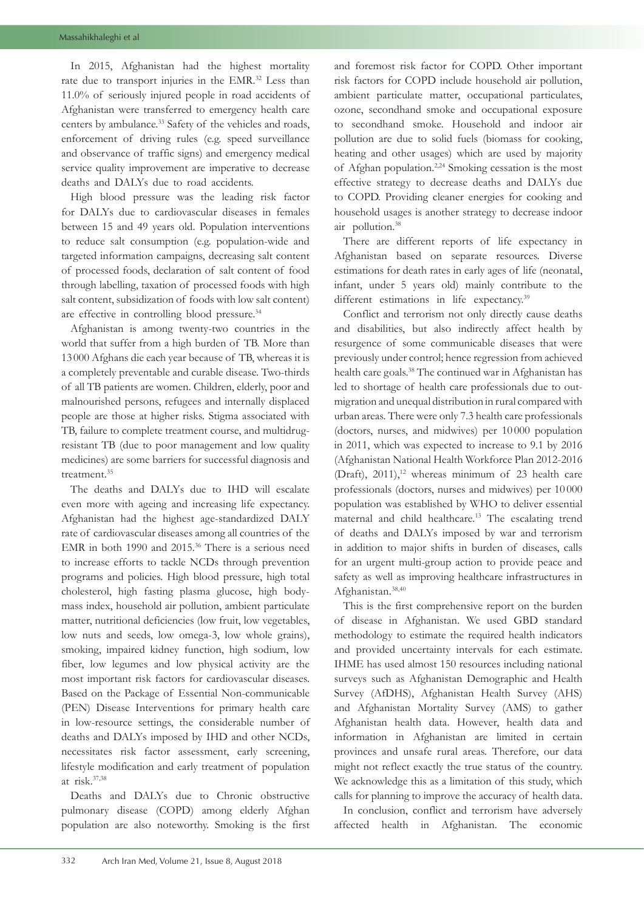In 2015, Afghanistan had the highest mortality rate due to transport injuries in the EMR.32 Less than 11.0% of seriously injured people in road accidents of Afghanistan were transferred to emergency health care centers by ambulance.<sup>33</sup> Safety of the vehicles and roads, enforcement of driving rules (e.g. speed surveillance and observance of traffic signs) and emergency medical service quality improvement are imperative to decrease deaths and DALYs due to road accidents.

High blood pressure was the leading risk factor for DALYs due to cardiovascular diseases in females between 15 and 49 years old. Population interventions to reduce salt consumption (e.g. population-wide and targeted information campaigns, decreasing salt content of processed foods, declaration of salt content of food through labelling, taxation of processed foods with high salt content, subsidization of foods with low salt content) are effective in controlling blood pressure.<sup>34</sup>

Afghanistan is among twenty-two countries in the world that suffer from a high burden of TB. More than 13 000 Afghans die each year because of TB, whereas it is a completely preventable and curable disease. Two-thirds of all TB patients are women. Children, elderly, poor and malnourished persons, refugees and internally displaced people are those at higher risks. Stigma associated with TB, failure to complete treatment course, and multidrugresistant TB (due to poor management and low quality medicines) are some barriers for successful diagnosis and treatment.<sup>35</sup>

The deaths and DALYs due to IHD will escalate even more with ageing and increasing life expectancy. Afghanistan had the highest age-standardized DALY rate of cardiovascular diseases among all countries of the EMR in both 1990 and 2015.36 There is a serious need to increase efforts to tackle NCDs through prevention programs and policies. High blood pressure, high total cholesterol, high fasting plasma glucose, high bodymass index, household air pollution, ambient particulate matter, nutritional deficiencies (low fruit, low vegetables, low nuts and seeds, low omega-3, low whole grains), smoking, impaired kidney function, high sodium, low fiber, low legumes and low physical activity are the most important risk factors for cardiovascular diseases. Based on the Package of Essential Non-communicable (PEN) Disease Interventions for primary health care in low-resource settings, the considerable number of deaths and DALYs imposed by IHD and other NCDs, necessitates risk factor assessment, early screening, lifestyle modification and early treatment of population at risk.37,38

Deaths and DALYs due to Chronic obstructive pulmonary disease (COPD) among elderly Afghan population are also noteworthy. Smoking is the first and foremost risk factor for COPD. Other important risk factors for COPD include household air pollution, ambient particulate matter, occupational particulates, ozone, secondhand smoke and occupational exposure to secondhand smoke. Household and indoor air pollution are due to solid fuels (biomass for cooking, heating and other usages) which are used by majority of Afghan population.2,24 Smoking cessation is the most effective strategy to decrease deaths and DALYs due to COPD. Providing cleaner energies for cooking and household usages is another strategy to decrease indoor air pollution.38

There are different reports of life expectancy in Afghanistan based on separate resources. Diverse estimations for death rates in early ages of life (neonatal, infant, under 5 years old) mainly contribute to the different estimations in life expectancy.<sup>39</sup>

Conflict and terrorism not only directly cause deaths and disabilities, but also indirectly affect health by resurgence of some communicable diseases that were previously under control; hence regression from achieved health care goals.38 The continued war in Afghanistan has led to shortage of health care professionals due to outmigration and unequal distribution in rural compared with urban areas. There were only 7.3 health care professionals (doctors, nurses, and midwives) per 10 000 population in 2011, which was expected to increase to 9.1 by 2016 (Afghanistan National Health Workforce Plan 2012-2016 (Draft),  $2011$ ,<sup>12</sup> whereas minimum of 23 health care professionals (doctors, nurses and midwives) per 10 000 population was established by WHO to deliver essential maternal and child healthcare.13 The escalating trend of deaths and DALYs imposed by war and terrorism in addition to major shifts in burden of diseases, calls for an urgent multi-group action to provide peace and safety as well as improving healthcare infrastructures in Afghanistan.38,40

This is the first comprehensive report on the burden of disease in Afghanistan. We used GBD standard methodology to estimate the required health indicators and provided uncertainty intervals for each estimate. IHME has used almost 150 resources including national surveys such as Afghanistan Demographic and Health Survey (AfDHS), Afghanistan Health Survey (AHS) and Afghanistan Mortality Survey (AMS) to gather Afghanistan health data. However, health data and information in Afghanistan are limited in certain provinces and unsafe rural areas. Therefore, our data might not reflect exactly the true status of the country. We acknowledge this as a limitation of this study, which calls for planning to improve the accuracy of health data.

In conclusion, conflict and terrorism have adversely affected health in Afghanistan. The economic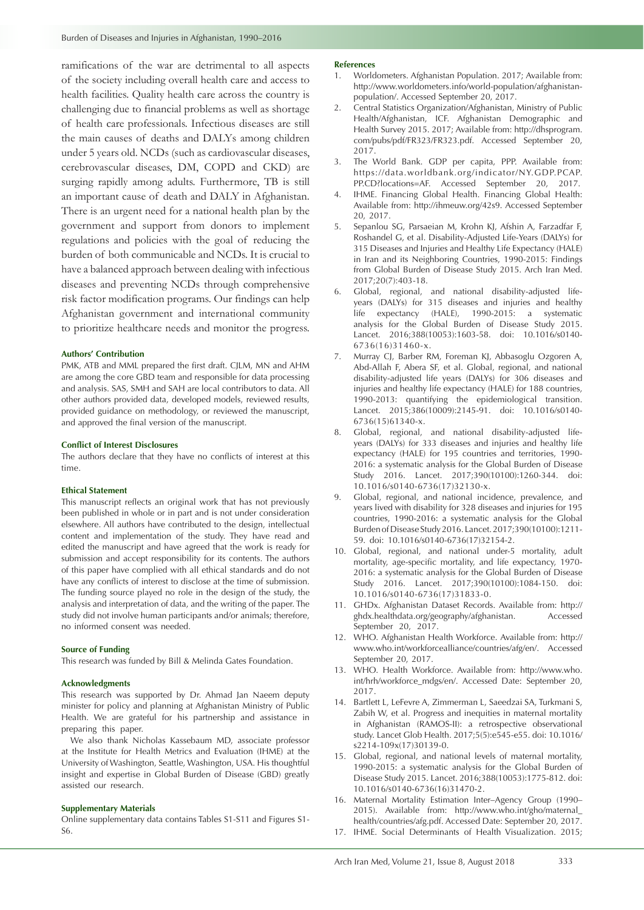ramifications of the war are detrimental to all aspects of the society including overall health care and access to health facilities. Quality health care across the country is challenging due to financial problems as well as shortage of health care professionals. Infectious diseases are still the main causes of deaths and DALYs among children under 5 years old. NCDs (such as cardiovascular diseases, cerebrovascular diseases, DM, COPD and CKD) are surging rapidly among adults. Furthermore, TB is still an important cause of death and DALY in Afghanistan. There is an urgent need for a national health plan by the government and support from donors to implement regulations and policies with the goal of reducing the burden of both communicable and NCDs. It is crucial to have a balanced approach between dealing with infectious diseases and preventing NCDs through comprehensive risk factor modification programs. Our findings can help Afghanistan government and international community to prioritize healthcare needs and monitor the progress.

#### **Authors' Contribution**

PMK, ATB and MML prepared the first draft. CJLM, MN and AHM are among the core GBD team and responsible for data processing and analysis. SAS, SMH and SAH are local contributors to data. All other authors provided data, developed models, reviewed results, provided guidance on methodology, or reviewed the manuscript, and approved the final version of the manuscript.

#### **Conflict of Interest Disclosures**

The authors declare that they have no conflicts of interest at this time.

#### **Ethical Statement**

This manuscript reflects an original work that has not previously been published in whole or in part and is not under consideration elsewhere. All authors have contributed to the design, intellectual content and implementation of the study. They have read and edited the manuscript and have agreed that the work is ready for submission and accept responsibility for its contents. The authors of this paper have complied with all ethical standards and do not have any conflicts of interest to disclose at the time of submission. The funding source played no role in the design of the study, the analysis and interpretation of data, and the writing of the paper. The study did not involve human participants and/or animals; therefore, no informed consent was needed.

#### **Source of Funding**

This research was funded by Bill & Melinda Gates Foundation.

#### **Acknowledgments**

This research was supported by Dr. Ahmad Jan Naeem deputy minister for policy and planning at Afghanistan Ministry of Public Health. We are grateful for his partnership and assistance in preparing this paper.

We also thank Nicholas Kassebaum MD, associate professor at the Institute for Health Metrics and Evaluation (IHME) at the University of Washington, Seattle, Washington, USA. His thoughtful insight and expertise in Global Burden of Disease (GBD) greatly assisted our research.

#### **Supplementary Materials**

Online supplementary data contains Tables S1-S11 and Figures S1- S6.

### **References**

- 1. Worldometers. Afghanistan Population. 2017; Available from: [http://www.worldometers.info/world-population/afghanistan](http://www.worldometers.info/world-population/afghanistan-population/)[population/.](http://www.worldometers.info/world-population/afghanistan-population/) Accessed September 20, 2017.
- 2. Central Statistics Organization/Afghanistan, Ministry of Public Health/Afghanistan, ICF. Afghanistan Demographic and Health Survey 2015. 2017; Available from: [http://dhsprogram.](http://dhsprogram.com/pubs/pdf/FR323/FR323.pdf) [com/pubs/pdf/FR323/FR323.pdf](http://dhsprogram.com/pubs/pdf/FR323/FR323.pdf). Accessed September 20, 2017.
- 3. The World Bank. GDP per capita, PPP. Available from: [https://data.worldbank.org/indicator/NY.GDP.PCAP.](https://data.worldbank.org/indicator/NY.GDP.PCAP.PP.CD?locations=AF) [PP.CD?locations=AF](https://data.worldbank.org/indicator/NY.GDP.PCAP.PP.CD?locations=AF). Accessed September 20, 2017.
- 4. IHME. Financing Global Health. Financing Global Health: Available from: <http://ihmeuw.org/42s9>. Accessed September 20, 2017.
- 5. Sepanlou SG, Parsaeian M, Krohn KJ, Afshin A, Farzadfar F, Roshandel G, et al. Disability-Adjusted Life-Years (DALYs) for 315 Diseases and Injuries and Healthy Life Expectancy (HALE) in Iran and its Neighboring Countries, 1990-2015: Findings from Global Burden of Disease Study 2015. Arch Iran Med. 2017;20(7):403-18.
- 6. Global, regional, and national disability-adjusted lifeyears (DALYs) for 315 diseases and injuries and healthy life expectancy (HALE), 1990-2015: a systematic analysis for the Global Burden of Disease Study 2015. Lancet. 2016;388(10053):1603-58. doi: 10.1016/s0140- 6736(16)31460-x.
- 7. Murray CJ, Barber RM, Foreman KJ, Abbasoglu Ozgoren A, Abd-Allah F, Abera SF, et al. Global, regional, and national disability-adjusted life years (DALYs) for 306 diseases and injuries and healthy life expectancy (HALE) for 188 countries, 1990-2013: quantifying the epidemiological transition. Lancet. 2015;386(10009):2145-91. doi: 10.1016/s0140-6736(15)61340-x.
- 8. Global, regional, and national disability-adjusted lifeyears (DALYs) for 333 diseases and injuries and healthy life expectancy (HALE) for 195 countries and territories, 1990- 2016: a systematic analysis for the Global Burden of Disease Study 2016. Lancet. 2017;390(10100):1260-344. doi: 10.1016/s0140-6736(17)32130-x.
- Global, regional, and national incidence, prevalence, and years lived with disability for 328 diseases and injuries for 195 countries, 1990-2016: a systematic analysis for the Global Burden of Disease Study 2016. Lancet. 2017;390(10100):1211- 59. doi: 10.1016/s0140-6736(17)32154-2.
- 10. Global, regional, and national under-5 mortality, adult mortality, age-specific mortality, and life expectancy, 1970- 2016: a systematic analysis for the Global Burden of Disease Study 2016. Lancet. 2017;390(10100):1084-150. doi: 10.1016/s0140-6736(17)31833-0.
- 11. GHDx. Afghanistan Dataset Records. Available from: [http://](http://ghdx.healthdata.org/geography/afghanistan) [ghdx.healthdata.org/geography/afghanistan.](http://ghdx.healthdata.org/geography/afghanistan) Accessed September 20, 2017.
- 12. WHO. Afghanistan Health Workforce. Available from: [http://](http://www.who.int/workforcealliance/countries/afg/en/) [www.who.int/workforcealliance/countries/afg/en/](http://www.who.int/workforcealliance/countries/afg/en/). Accessed September 20, 2017.
- 13. WHO. Health Workforce. Available from: [http://www.who.](http://www.who.int/hrh/workforce_mdgs/en/) [int/hrh/workforce\\_mdgs/en/](http://www.who.int/hrh/workforce_mdgs/en/). Accessed Date: September 20, 2017.
- 14. Bartlett L, LeFevre A, Zimmerman L, Saeedzai SA, Turkmani S, Zabih W, et al. Progress and inequities in maternal mortality in Afghanistan (RAMOS-II): a retrospective observational study. Lancet Glob Health. 2017;5(5):e545-e55. doi: 10.1016/ s2214-109x(17)30139-0.
- 15. Global, regional, and national levels of maternal mortality, 1990-2015: a systematic analysis for the Global Burden of Disease Study 2015. Lancet. 2016;388(10053):1775-812. doi: 10.1016/s0140-6736(16)31470-2.
- 16. Maternal Mortality Estimation Inter–Agency Group (1990– 2015). Available from: [http://www.who.int/gho/maternal\\_](http://www.who.int/gho/maternal_health/countries/afg.pdf) [health/countries/afg.pdf.](http://www.who.int/gho/maternal_health/countries/afg.pdf) Accessed Date: September 20, 2017. 17. IHME. Social Determinants of Health Visualization. 2015;